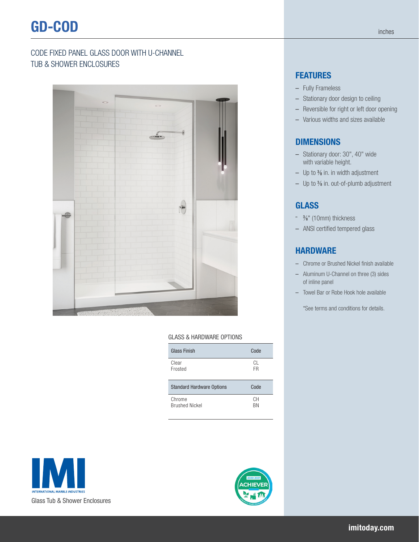# CODE FIXED PANEL GLASS DOOR WITH U-CHANNEL TUB & SHOWER ENCLOSURES



#### GLASS & HARDWARE OPTIONS

| Glass Finish                     | Code      |
|----------------------------------|-----------|
| Clear<br>Frosted                 | CL.<br>FR |
| <b>Standard Hardware Options</b> | Code      |
|                                  |           |

### **FEATURES**

- Fully Frameless
- Stationary door design to ceiling
- Reversible for right or left door opening
- Various widths and sizes available

### **DIMENSIONS**

- Stationary door: 30", 40" wide with variable height.
- Up to 3 ⁄8 in. in width adjustment
- Up to 3 ⁄8 in. out-of-plumb adjustment

### GLASS

- 3 ⁄8" (10mm) thickness
- ANSI certified tempered glass

## **HARDWARE**

- Chrome or Brushed Nickel finish available
- Aluminum U-Channel on three (3) sides of inline panel
- Towel Bar or Robe Hook hole available

\*See terms and conditions for details.



Glass Tub & Shower Enclosures